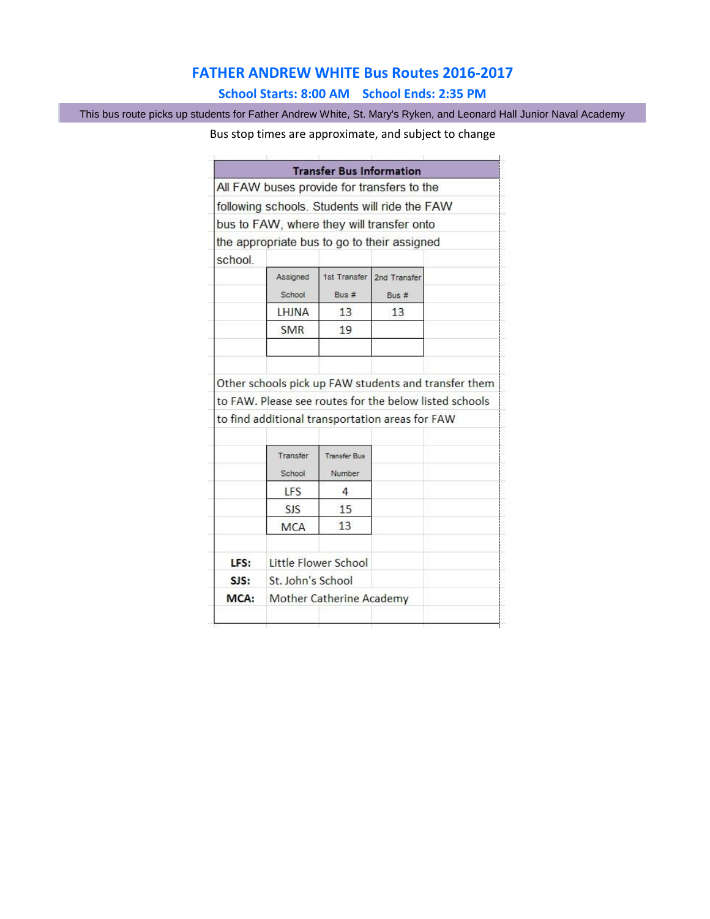## **FATHER ANDREW WHITE Bus Routes 2016-2017**

## **School Starts: 8:00 AM School Ends: 2:35 PM**

This bus route picks up students for Father Andrew White, St. Mary's Ryken, and Leonard Hall Junior Naval Academy

## Bus stop times are approximate, and subject to change

|         |                    | <b>Transfer Bus Information</b> |                                                                                                                                                                   |  |
|---------|--------------------|---------------------------------|-------------------------------------------------------------------------------------------------------------------------------------------------------------------|--|
|         |                    |                                 | All FAW buses provide for transfers to the                                                                                                                        |  |
|         |                    |                                 | following schools. Students will ride the FAW                                                                                                                     |  |
|         |                    |                                 | bus to FAW, where they will transfer onto                                                                                                                         |  |
|         |                    |                                 | the appropriate bus to go to their assigned                                                                                                                       |  |
| school. |                    |                                 |                                                                                                                                                                   |  |
|         | Assigned<br>School | 1st Transfer<br>Bus#            | 2nd Transfer<br>Bus #                                                                                                                                             |  |
|         | <b>I HINA</b>      | 13                              | 13                                                                                                                                                                |  |
|         | <b>SMR</b>         | 19                              |                                                                                                                                                                   |  |
|         |                    |                                 |                                                                                                                                                                   |  |
|         |                    |                                 |                                                                                                                                                                   |  |
|         |                    |                                 | Other schools pick up FAW students and transfer them<br>to FAW. Please see routes for the below listed schools<br>to find additional transportation areas for FAW |  |
|         | Transfer           | <b>Transfer Bus</b>             |                                                                                                                                                                   |  |
|         | School             | Number                          |                                                                                                                                                                   |  |
|         | LFS                | 4                               |                                                                                                                                                                   |  |
|         | <b>SIS</b>         | 15                              |                                                                                                                                                                   |  |
|         | <b>MCA</b>         | 13                              |                                                                                                                                                                   |  |
| LFS:    |                    | Little Flower School            |                                                                                                                                                                   |  |
| SJS:    | St. John's School  |                                 |                                                                                                                                                                   |  |
| MCA:    |                    | Mother Catherine Academy        |                                                                                                                                                                   |  |
|         |                    |                                 |                                                                                                                                                                   |  |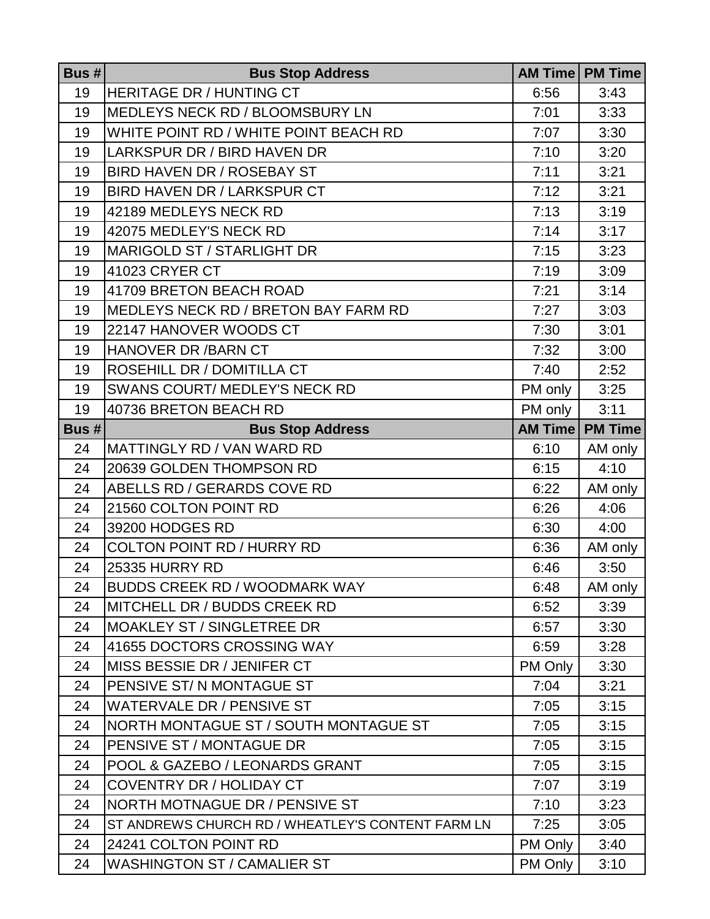| Bus $# $ | <b>Bus Stop Address</b>                           |         | <b>AM Time   PM Time</b> |
|----------|---------------------------------------------------|---------|--------------------------|
| 19       | <b>HERITAGE DR / HUNTING CT</b>                   | 6:56    | 3:43                     |
| 19       | MEDLEYS NECK RD / BLOOMSBURY LN                   | 7:01    | 3:33                     |
| 19       | WHITE POINT RD / WHITE POINT BEACH RD             | 7:07    | 3:30                     |
| 19       | LARKSPUR DR / BIRD HAVEN DR                       | 7:10    | 3:20                     |
| 19       | BIRD HAVEN DR / ROSEBAY ST                        | 7:11    | 3:21                     |
| 19       | BIRD HAVEN DR / LARKSPUR CT                       | 7:12    | 3:21                     |
| 19       | 42189 MEDLEYS NECK RD                             | 7:13    | 3:19                     |
| 19       | 42075 MEDLEY'S NECK RD                            | 7:14    | 3:17                     |
| 19       | MARIGOLD ST / STARLIGHT DR                        | 7:15    | 3:23                     |
| 19       | 41023 CRYER CT                                    | 7:19    | 3:09                     |
| 19       | 41709 BRETON BEACH ROAD                           | 7:21    | 3:14                     |
| 19       | MEDLEYS NECK RD / BRETON BAY FARM RD              | 7:27    | 3:03                     |
| 19       | 22147 HANOVER WOODS CT                            | 7:30    | 3:01                     |
| 19       | <b>HANOVER DR / BARN CT</b>                       | 7:32    | 3:00                     |
| 19       | ROSEHILL DR / DOMITILLA CT                        | 7:40    | 2:52                     |
| 19       | SWANS COURT/ MEDLEY'S NECK RD                     | PM only | 3:25                     |
| 19       | 40736 BRETON BEACH RD                             | PM only | 3:11                     |
| Bus #    | <b>Bus Stop Address</b>                           |         | <b>AM Time   PM Time</b> |
| 24       | MATTINGLY RD / VAN WARD RD                        | 6:10    | AM only                  |
| 24       | 20639 GOLDEN THOMPSON RD                          | 6:15    | 4:10                     |
| 24       | ABELLS RD / GERARDS COVE RD                       | 6:22    | AM only                  |
| 24       | 21560 COLTON POINT RD                             | 6:26    | 4:06                     |
| 24       | 39200 HODGES RD                                   | 6:30    | 4:00                     |
| 24       | <b>COLTON POINT RD / HURRY RD</b>                 | 6:36    | AM only                  |
| 24       | 25335 HURRY RD                                    | 6:46    | 3:50                     |
| 24       | <b>BUDDS CREEK RD / WOODMARK WAY</b>              | 6:48    | AM only                  |
| 24       | MITCHELL DR / BUDDS CREEK RD                      | 6:52    | 3:39                     |
| 24       | <b>MOAKLEY ST / SINGLETREE DR</b>                 | 6:57    | 3:30                     |
| 24       | 41655 DOCTORS CROSSING WAY                        | 6:59    | 3:28                     |
| 24       | MISS BESSIE DR / JENIFER CT                       | PM Only | 3:30                     |
| 24       | PENSIVE ST/N MONTAGUE ST                          | 7:04    | 3:21                     |
| 24       | <b>WATERVALE DR / PENSIVE ST</b>                  | 7:05    | 3:15                     |
| 24       | NORTH MONTAGUE ST / SOUTH MONTAGUE ST             | 7:05    | 3:15                     |
| 24       | PENSIVE ST / MONTAGUE DR                          | 7:05    | 3:15                     |
| 24       | POOL & GAZEBO / LEONARDS GRANT                    | 7:05    | 3:15                     |
| 24       | <b>COVENTRY DR / HOLIDAY CT</b>                   | 7:07    | 3:19                     |
| 24       | NORTH MOTNAGUE DR / PENSIVE ST                    | 7:10    | 3:23                     |
| 24       | ST ANDREWS CHURCH RD / WHEATLEY'S CONTENT FARM LN | 7:25    | 3:05                     |
| 24       | 24241 COLTON POINT RD                             | PM Only | 3:40                     |
| 24       | <b>WASHINGTON ST / CAMALIER ST</b>                | PM Only | 3:10                     |